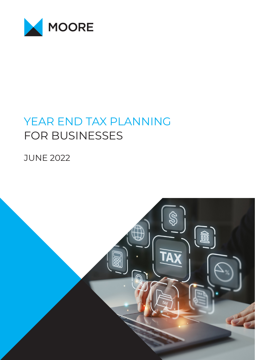

# YEAR END TAX PLANNING FOR BUSINESSES

**JUNE 2022** 

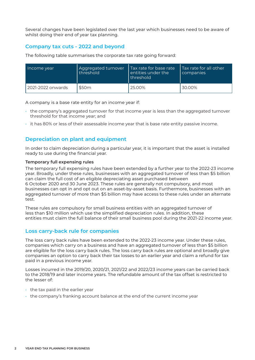Several changes have been legislated over the last year which businesses need to be aware of whilst doing their end of year tax planning.

# **Company tax cuts - 2022 and beyond**

The following table summarises the corporate tax rate going forward:

| Income year       | Aggregated turnover<br>threshold | l Tax rate for base rate<br>entities under the<br>I threshold | Tax rate for all other<br>companies |
|-------------------|----------------------------------|---------------------------------------------------------------|-------------------------------------|
| 2021-2022 onwards | \$50m                            | 25.00%                                                        | 30.00%                              |

A company is a base rate entity for an income year if:

- the company's aggregated turnover for that income year is less than the aggregated turnover threshold for that income year; and
- it has 80% or less of their assessable income year that is base rate entity passive income.

# **Depreciation on plant and equipment**

In order to claim depreciation during a particular year, it is important that the asset is installed ready to use during the financial year.

#### **Temporary full expensing rules**

The temporary full expensing rules have been extended by a further year to the 2022-23 income year. Broadly, under these rules, businesses with an aggregated turnover of less than \$5 billion can claim the full cost of an eligible depreciating asset purchased between 6 October 2020 and 30 June 2023. These rules are generally not compulsory, and most businesses can opt in and opt out on an asset-by-asset basis. Furthermore, businesses with an aggregated turnover of more than \$5 billion may have access to these rules under an alternate test.

These rules are compulsory for small business entities with an aggregated turnover of less than \$10 million which use the simplified depreciation rules. In addition, these entities must claim the full balance of their small business pool during the 2021-22 income year.

# **Loss carry-back rule for companies**

The loss carry back rules have been extended to the 2022-23 income year. Under these rules, companies which carry on a business and have an aggregated turnover of less than \$5 billion are eligible for the loss carry back rules. The loss carry back rules are optional and broadly give companies an option to carry back their tax losses to an earlier year and claim a refund for tax paid in a previous income year.

Losses incurred in the 2019/20, 2020/21, 2021/22 and 2022/23 income years can be carried back to the 2018/19 and later income years. The refundable amount of the tax offset is restricted to the lesser of:

- $\cdot$  the tax paid in the earlier year
- the company's franking account balance at the end of the current income year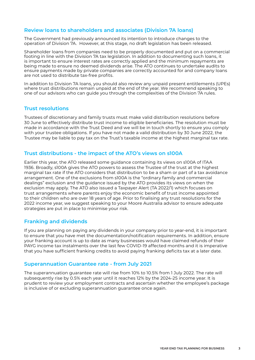# **Review loans to shareholders and associates (Division 7A loans)**

The Government had previously announced its intention to introduce changes to the operation of Division 7A. However, at this stage, no draft legislation has been released.

Shareholder loans from companies need to be properly documented and put on a commercial footing in line with the Division 7A tax legislation. In addition to documenting such loans, it is important to ensure interest rates are correctly applied and the minimum repayments are being made to ensure no deemed dividends arise. The ATO continues to undertake audits to ensure payments made by private companies are correctly accounted for and company loans are not used to distribute tax-free profits.

In addition to Division 7A loans, you should also review any unpaid present entitlements (UPEs) where trust distributions remain unpaid at the end of the year. We recommend speaking to one of our advisors who can guide you through the complexities of the Division 7A rules.

#### **Trust resolutions**

Trustees of discretionary and family trusts must make valid distribution resolutions before 30 June to effectively distribute trust income to eligible beneficiaries. The resolution must be made in accordance with the Trust Deed and we will be in touch shortly to ensure you comply with your trustee obligations. If you have not made a valid distribution by 30 June 2022, the Trustee may be liable to pay tax on the Trust's taxable income at the highest marginal tax rate.

# **Trust distributions - the impact of the ATO's views on s100A**

Earlier this year, the ATO released some guidance containing its views on s100A of ITAA 1936. Broadly, s100A gives the ATO powers to assess the Trustee of the trust at the highest marginal tax rate if the ATO considers that distribution to be a sham or part of a tax avoidance arrangement. One of the exclusions from s100A is the "ordinary family and commercial dealings" exclusion and the guidance issued by the ATO provides its views on when the exclusion may apply. The ATO also issued a Taxpayer Alert (TA 2022/1) which focuses on trust arrangements where parents enjoy the economic benefit of trust income appointed to their children who are over 18 years of age. Prior to finalising any trust resolutions for the 2022 income year, we suggest speaking to your Moore Australia advisor to ensure adequate strategies are put in place to minimise your risk.

# **Franking and dividends**

If you are planning on paying any dividends in your company prior to year-end, it is important to ensure that you have met the documentation/notification requirements. In addition, ensure your franking account is up to date as many businesses would have claimed refunds of their PAYG income tax instalments over the last few COVID-19 affected months and it is imperative that you have sufficient franking credits to avoid paying franking deficits tax at a later date.

#### **Superannuation Guarantee rate - from July 2021**

The superannuation guarantee rate will rise from 10% to 10.5% from 1 July 2022. The rate will subsequently rise by 0.5% each year until it reaches 12% by the 2024-25 income year. It is prudent to review your employment contracts and ascertain whether the employee's package is inclusive of or excluding superannuation guarantee once again.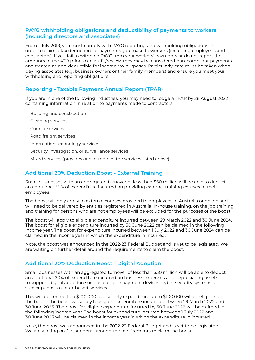# **PAYG withholding obligations and deductibility of payments to workers (including directors and associates)**

From 1 July 2019, you must comply with PAYG reporting and withholding obligations in order to claim a tax deduction for payments you make to workers (including employees and contractors). If you fail to withhold PAYG from your workers' payments or do not report the amounts to the ATO prior to an audit/review, they may be considered non-compliant payments and treated as non-deductible for income tax purposes. Particularly, care must be taken when paying associates (e.g. business owners or their family members) and ensure you meet your withholding and reporting obligations.

# **Reporting - Taxable Payment Annual Report (TPAR)**

If you are in one of the following industries, you may need to lodge a TPAR by 28 August 2022 containing information in relation to payments made to contractors:

- Building and construction
- Cleaning services
- Courier services
- Road freight services
- Information technology services
- Security, investigation, or surveillance services
- Mixed services (provides one or more of the services listed above)

# **Additional 20% Deduction Boost - External Training**

Small businesses with an aggregated turnover of less than \$50 million will be able to deduct an additional 20% of expenditure incurred on providing external training courses to their employees.

The boost will only apply to external courses provided to employees in Australia or online and will need to be delivered by entities registered in Australia. In-house training, on the job training and training for persons who are not employees will be excluded for the purposes of the boost.

The boost will apply to eligible expenditure incurred between 29 March 2022 and 30 June 2024. The boost for eligible expenditure incurred by 30 June 2022 can be claimed in the following income year. The boost for expenditure incurred between 1 July 2022 and 30 June 2024 can be claimed in the income year in which the expenditure in incurred.

Note, the boost was announced in the 2022-23 Federal Budget and is yet to be legislated. We are waiting on further detail around the requirements to claim the boost.

# **Additional 20% Deduction Boost - Digital Adoption**

Small businesses with an aggregated turnover of less than \$50 million will be able to deduct an additional 20% of expenditure incurred on business expenses and depreciating assets to support digital adoption such as portable payment devices, cyber security systems or subscriptions to cloud-based services.

This will be limited to a \$100,000 cap so only expenditure up to \$100,000 will be eligible for the boost. The boost will apply to eligible expenditure incurred between 29 March 2022 and 30 June 2023. The boost for eligible expenditure incurred by 30 June 2022 will be claimed in the following income year. The boost for expenditure incurred between 1 July 2022 and 30 June 2023 will be claimed in the income year in which the expenditure in incurred.

Note, the boost was announced in the 2022-23 Federal Budget and is yet to be legislated. We are waiting on further detail around the requirements to claim the boost.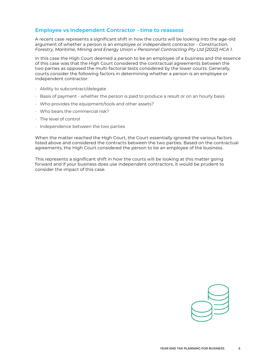# **Employee vs Independent Contractor - time to reassess**

A recent case represents a significant shift in how the courts will be looking into the age-old argument of whether a person is an employee or independent contractor - *Construction, Forestry, Maritime, Mining and Energy Union v Personnel Contracting Pty Ltd [2022] HCA 1*.

In this case the High Court deemed a person to be an employee of a business and the essence of this case was that the High Court considered the contractual agreements between the two parties as opposed the multi-factorial tests considered by the lower courts. Generally, courts consider the following factors in determining whether a person is an employee or independent contractor:

- Ability to subcontract/delegate
- Basis of payment whether the person is paid to produce a result or on an hourly basis
- Who provides the equipment/tools and other assets?
- Who bears the commercial risk?
- The level of control
- Independence between the two parties

When the matter reached the High Court, the Court essentially ignored the various factors listed above and considered the contracts between the two parties. Based on the contractual agreements, the High Court considered the person to be an employee of the business.

This represents a significant shift in how the courts will be looking at this matter going forward and if your business does use independent contractors, it would be prudent to consider the impact of this case.

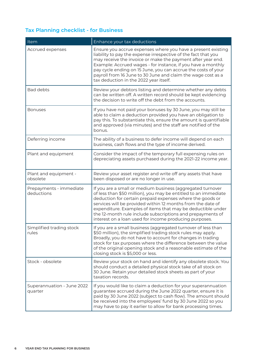# **Tax Planning checklist - for Business**

| Item                                  | Enhance your tax deductions                                                                                                                                                                                                                                                                                                                                                                                                                      |
|---------------------------------------|--------------------------------------------------------------------------------------------------------------------------------------------------------------------------------------------------------------------------------------------------------------------------------------------------------------------------------------------------------------------------------------------------------------------------------------------------|
| Accrued expenses                      | Ensure you accrue expenses where you have a present existing<br>liability to pay the expense irrespective of the fact that you<br>may receive the invoice or make the payment after year end.<br>Example: Accrued wages - for instance, if you have a monthly<br>pay cycle ending on 15 June, you can accrue the costs of your<br>payroll from 16 June to 30 June and claim the wage cost as a<br>tax deduction in the 2022 year itself.         |
| <b>Bad debts</b>                      | Review your debtors listing and determine whether any debts<br>can be written off. A written record should be kept evidencing<br>the decision to write off the debt from the accounts.                                                                                                                                                                                                                                                           |
| <b>Bonuses</b>                        | If you have not paid your bonuses by 30 June, you may still be<br>able to claim a deduction provided you have an obligation to<br>pay this. To substantiate this, ensure the amount is quantifiable<br>and approved (via minutes) and the staff are notified of the<br>bonus.                                                                                                                                                                    |
| Deferring income                      | The ability of a business to defer income will depend on each<br>business, cash flows and the type of income derived.                                                                                                                                                                                                                                                                                                                            |
| Plant and equipment                   | Consider the impact of the temporary full expensing rules on<br>depreciating assets purchased during the 2021-22 income year.                                                                                                                                                                                                                                                                                                                    |
| Plant and equipment -<br>obsolete     | Review your asset register and write off any assets that have<br>been disposed or are no longer in use.                                                                                                                                                                                                                                                                                                                                          |
| Prepayments - immediate<br>deductions | If you are a small or medium business (aggregated turnover<br>of less than \$50 million), you may be entitled to an immediate<br>deduction for certain prepaid expenses where the goods or<br>services will be provided within 12 months from the date of<br>expenditure. Examples of items that may be deductible under<br>the 12-month rule include subscriptions and prepayments of<br>interest on a loan used for income producing purposes. |
| Simplified trading stock<br>rules     | If you are a small business (aggregated turnover of less than<br>\$50 million), the simplified trading stock rules may apply.<br>Broadly, you do not have to account for changes in trading<br>stock for tax purposes where the difference between the value<br>of the original opening stock and a reasonable estimate of the<br>closing stock is \$5,000 or less.                                                                              |
| Stock - obsolete                      | Review your stock on hand and identify any obsolete stock. You<br>should conduct a detailed physical stock take of all stock on<br>30 June. Retain your detailed stock sheets as part of your<br>taxation records.                                                                                                                                                                                                                               |
| Superannuation - June 2022<br>quarter | If you would like to claim a deduction for your superannuation<br>guarantee accrued during the June 2022 quarter, ensure it is<br>paid by 30 June 2022 (subject to cash flow). The amount should<br>be received into the employees' fund by 30 June 2022 so you<br>may have to pay it earlier to allow for bank processing times.                                                                                                                |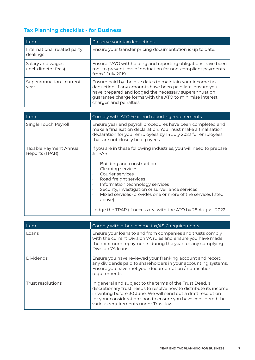# **Tax Planning checklist - for Business**

| Item                                      | Preserve your tax deductions                                                                                                                                                                                                                                         |
|-------------------------------------------|----------------------------------------------------------------------------------------------------------------------------------------------------------------------------------------------------------------------------------------------------------------------|
| International related party<br>dealings   | Ensure your transfer pricing documentation is up to date.                                                                                                                                                                                                            |
| Salary and wages<br>(incl. director fees) | Ensure PAYG withholding and reporting obligations have been<br>met to prevent loss of deduction for non-compliant payments<br>from 1 July 2019.                                                                                                                      |
| Superannuation - current<br>year          | Ensure paid by the due dates to maintain your income tax<br>deduction. If any amounts have been paid late, ensure you<br>have prepared and lodged the necessary superannuation<br>guarantee charge forms with the ATO to minimise interest<br>charges and penalties. |

| <b>Item</b>                              | Comply with ATO Year-end reporting requirements                                                                                                                                                                                                                                                                                              |
|------------------------------------------|----------------------------------------------------------------------------------------------------------------------------------------------------------------------------------------------------------------------------------------------------------------------------------------------------------------------------------------------|
| Single Touch Payroll                     | Ensure year end payroll procedures have been completed and<br>make a finalisation declaration. You must make a finalisation<br>declaration for your employees by 14 July 2022 for employees<br>that are not closely held payees.                                                                                                             |
| Taxable Payment Annual<br>Reports (TPAR) | If you are in these following industries, you will need to prepare<br>a TPAR:<br>Building and construction<br>Cleaning services<br>Courier services<br>Road freight services<br>Information technology services<br>Security, investigation or surveillance services<br>Mixed services (provides one or more of the services listed<br>above) |
|                                          | Lodge the TPAR (if necessary) with the ATO by 28 August 2022.                                                                                                                                                                                                                                                                                |

| Item              | Comply with other income tax/ASIC requirements                                                                                                                                                                                                                                                            |
|-------------------|-----------------------------------------------------------------------------------------------------------------------------------------------------------------------------------------------------------------------------------------------------------------------------------------------------------|
| Loans             | Ensure your loans to and from companies and trusts comply<br>with the current Division 7A rules and ensure you have made<br>the minimum repayments during the year for any complying<br>Division 7A loans.                                                                                                |
| <b>Dividends</b>  | Ensure you have reviewed your franking account and record<br>any dividends paid to shareholders in your accounting systems.<br>Ensure you have met your documentation / notification<br>requirements.                                                                                                     |
| Trust resolutions | In general and subject to the terms of the Trust Deed, a<br>discretionary trust needs to resolve how to distribute its income<br>in writing before 30 June. We will send out a draft resolution<br>for your consideration soon to ensure you have considered the<br>various requirements under Trust law. |